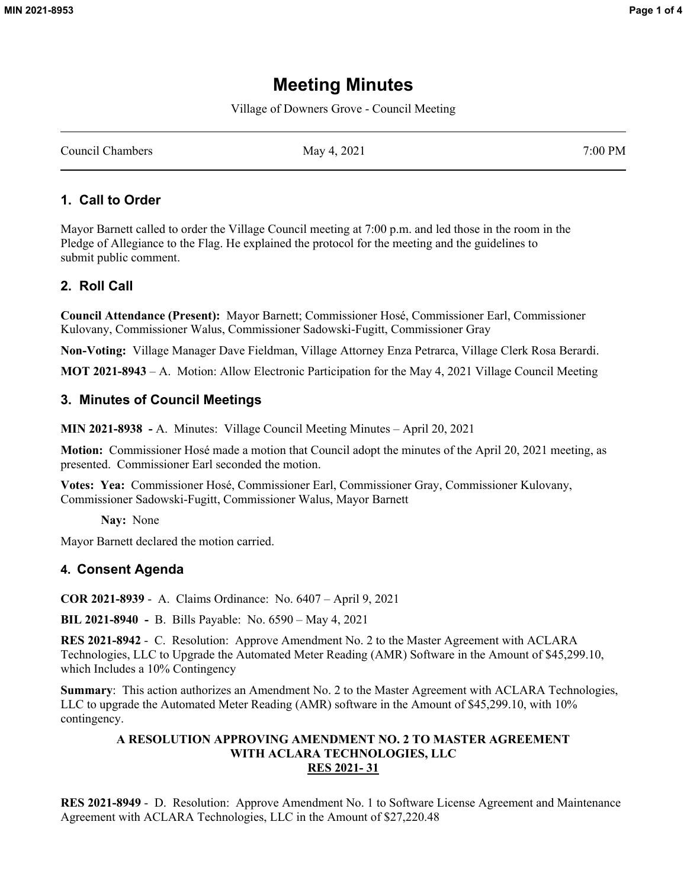# **Meeting Minutes**

Village of Downers Grove - Council Meeting

Council Chambers May 4, 2021 7:00 PM

### **1. Call to Order**

Mayor Barnett called to order the Village Council meeting at 7:00 p.m. and led those in the room in the Pledge of Allegiance to the Flag. He explained the protocol for the meeting and the guidelines to submit public comment.

### **2. Roll Call**

**Council Attendance (Present):** Mayor Barnett; Commissioner Hosé, Commissioner Earl, Commissioner Kulovany, Commissioner Walus, Commissioner Sadowski-Fugitt, Commissioner Gray

**Non-Voting:** Village Manager Dave Fieldman, Village Attorney Enza Petrarca, Village Clerk Rosa Berardi.

**MOT 2021-8943** – A. Motion: Allow Electronic Participation for the May 4, 2021 Village Council Meeting

#### **3. Minutes of Council Meetings**

**MIN 2021-8938 -** A. Minutes: Village Council Meeting Minutes – April 20, 2021

**Motion:** Commissioner Hosé made a motion that Council adopt the minutes of the April 20, 2021 meeting, as presented. Commissioner Earl seconded the motion.

**Votes: Yea:** Commissioner Hosé, Commissioner Earl, Commissioner Gray, Commissioner Kulovany, Commissioner Sadowski-Fugitt, Commissioner Walus, Mayor Barnett

**Nay:** None

Mayor Barnett declared the motion carried.

### **4. Consent Agenda**

**COR 2021-8939** - A. Claims Ordinance: No. 6407 – April 9, 2021

**BIL 2021-8940 -** B. Bills Payable: No. 6590 – May 4, 2021

**RES 2021-8942** - C. Resolution: Approve Amendment No. 2 to the Master Agreement with ACLARA Technologies, LLC to Upgrade the Automated Meter Reading (AMR) Software in the Amount of \$45,299.10, which Includes a 10% Contingency

**Summary**: This action authorizes an Amendment No. 2 to the Master Agreement with ACLARA Technologies, LLC to upgrade the Automated Meter Reading (AMR) software in the Amount of \$45,299.10, with 10% contingency.

#### **A RESOLUTION APPROVING AMENDMENT NO. 2 TO MASTER AGREEMENT WITH ACLARA TECHNOLOGIES, LLC RES 2021- 31**

**RES 2021-8949** - D. Resolution: Approve Amendment No. 1 to Software License Agreement and Maintenance Agreement with ACLARA Technologies, LLC in the Amount of \$27,220.48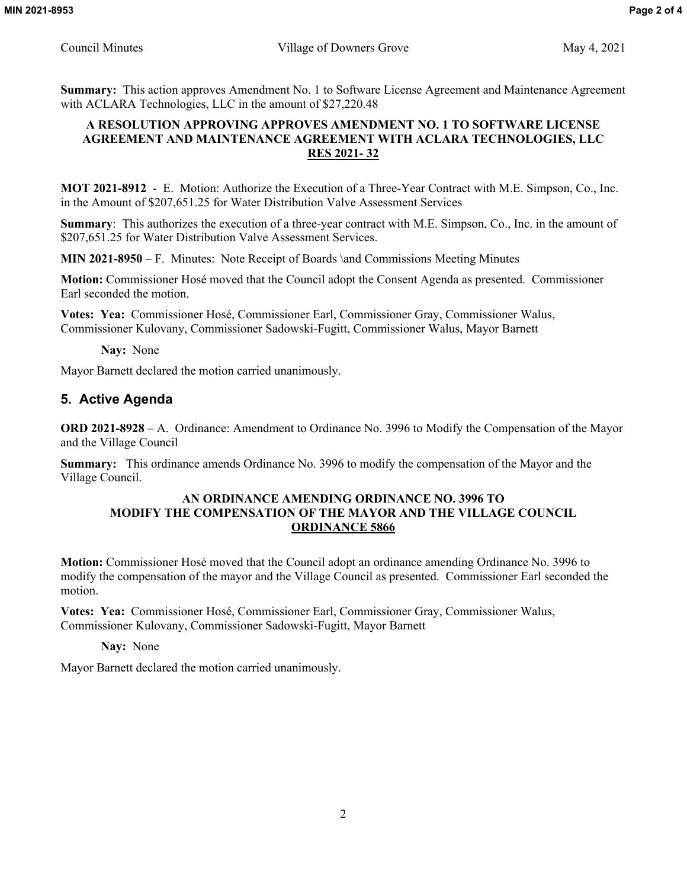**Summary:** This action approves Amendment No. 1 to Software License Agreement and Maintenance Agreement with ACLARA Technologies, LLC in the amount of \$27,220.48

### **A RESOLUTION APPROVING APPROVES AMENDMENT NO. 1 TO SOFTWARE LICENSE AGREEMENT AND MAINTENANCE AGREEMENT WITH ACLARA TECHNOLOGIES, LLC RES 2021- 32**

**MOT 2021-8912** - E. Motion: Authorize the Execution of a Three-Year Contract with M.E. Simpson, Co., Inc. in the Amount of \$207,651.25 for Water Distribution Valve Assessment Services

**Summary**: This authorizes the execution of a three-year contract with M.E. Simpson, Co., Inc. in the amount of \$207,651.25 for Water Distribution Valve Assessment Services.

**MIN 2021-8950 –** F. Minutes: Note Receipt of Boards \and Commissions Meeting Minutes

**Motion:** Commissioner Hosé moved that the Council adopt the Consent Agenda as presented. Commissioner Earl seconded the motion.

**Votes: Yea:** Commissioner Hosé, Commissioner Earl, Commissioner Gray, Commissioner Walus, Commissioner Kulovany, Commissioner Sadowski-Fugitt, Commissioner Walus, Mayor Barnett

**Nay:** None

Mayor Barnett declared the motion carried unanimously.

### **5. Active Agenda**

**ORD 2021-8928** – A. Ordinance: Amendment to Ordinance No. 3996 to Modify the Compensation of the Mayor and the Village Council

**Summary:** This ordinance amends Ordinance No. 3996 to modify the compensation of the Mayor and the Village Council.

#### **AN ORDINANCE AMENDING ORDINANCE NO. 3996 TO MODIFY THE COMPENSATION OF THE MAYOR AND THE VILLAGE COUNCIL ORDINANCE 5866**

**Motion:** Commissioner Hosé moved that the Council adopt an ordinance amending Ordinance No. 3996 to modify the compensation of the mayor and the Village Council as presented. Commissioner Earl seconded the motion.

**Votes: Yea:** Commissioner Hosé, Commissioner Earl, Commissioner Gray, Commissioner Walus, Commissioner Kulovany, Commissioner Sadowski-Fugitt, Mayor Barnett

**Nay:** None

Mayor Barnett declared the motion carried unanimously.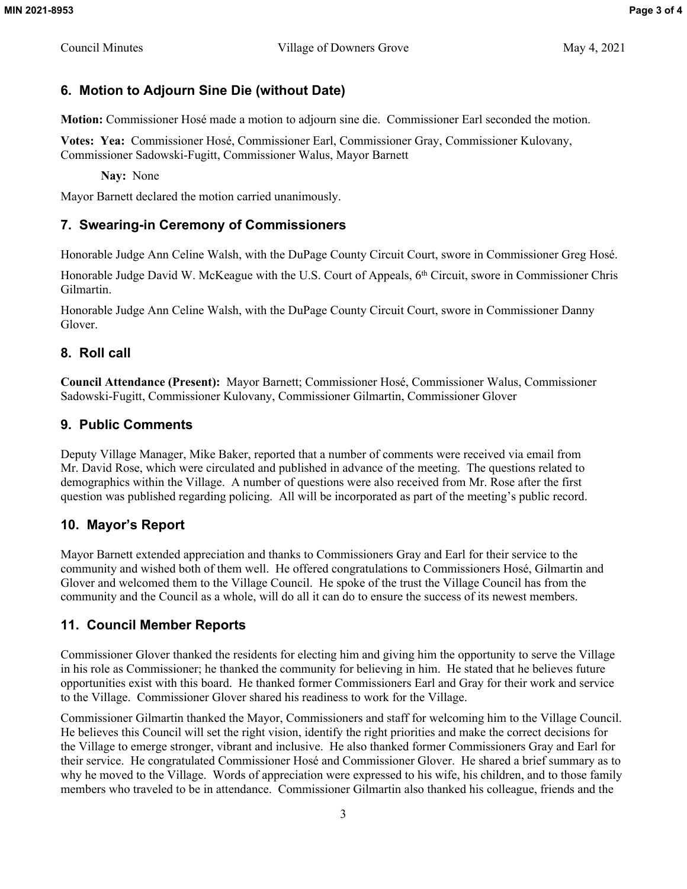## **6. Motion to Adjourn Sine Die (without Date)**

**Motion:** Commissioner Hosé made a motion to adjourn sine die. Commissioner Earl seconded the motion.

**Votes: Yea:** Commissioner Hosé, Commissioner Earl, Commissioner Gray, Commissioner Kulovany, Commissioner Sadowski-Fugitt, Commissioner Walus, Mayor Barnett

**Nay:** None

Mayor Barnett declared the motion carried unanimously.

## **7. Swearing-in Ceremony of Commissioners**

Honorable Judge Ann Celine Walsh, with the DuPage County Circuit Court, swore in Commissioner Greg Hosé.

Honorable Judge David W. McKeague with the U.S. Court of Appeals, 6<sup>th</sup> Circuit, swore in Commissioner Chris Gilmartin.

Honorable Judge Ann Celine Walsh, with the DuPage County Circuit Court, swore in Commissioner Danny Glover.

## **8. Roll call**

**Council Attendance (Present):** Mayor Barnett; Commissioner Hosé, Commissioner Walus, Commissioner Sadowski-Fugitt, Commissioner Kulovany, Commissioner Gilmartin, Commissioner Glover

## **9. Public Comments**

Deputy Village Manager, Mike Baker, reported that a number of comments were received via email from Mr. David Rose, which were circulated and published in advance of the meeting. The questions related to demographics within the Village. A number of questions were also received from Mr. Rose after the first question was published regarding policing. All will be incorporated as part of the meeting's public record.

## **10. Mayor's Report**

Mayor Barnett extended appreciation and thanks to Commissioners Gray and Earl for their service to the community and wished both of them well. He offered congratulations to Commissioners Hosé, Gilmartin and Glover and welcomed them to the Village Council. He spoke of the trust the Village Council has from the community and the Council as a whole, will do all it can do to ensure the success of its newest members.

## **11. Council Member Reports**

Commissioner Glover thanked the residents for electing him and giving him the opportunity to serve the Village in his role as Commissioner; he thanked the community for believing in him. He stated that he believes future opportunities exist with this board. He thanked former Commissioners Earl and Gray for their work and service to the Village. Commissioner Glover shared his readiness to work for the Village.

Commissioner Gilmartin thanked the Mayor, Commissioners and staff for welcoming him to the Village Council. He believes this Council will set the right vision, identify the right priorities and make the correct decisions for the Village to emerge stronger, vibrant and inclusive. He also thanked former Commissioners Gray and Earl for their service. He congratulated Commissioner Hosé and Commissioner Glover. He shared a brief summary as to why he moved to the Village. Words of appreciation were expressed to his wife, his children, and to those family members who traveled to be in attendance. Commissioner Gilmartin also thanked his colleague, friends and the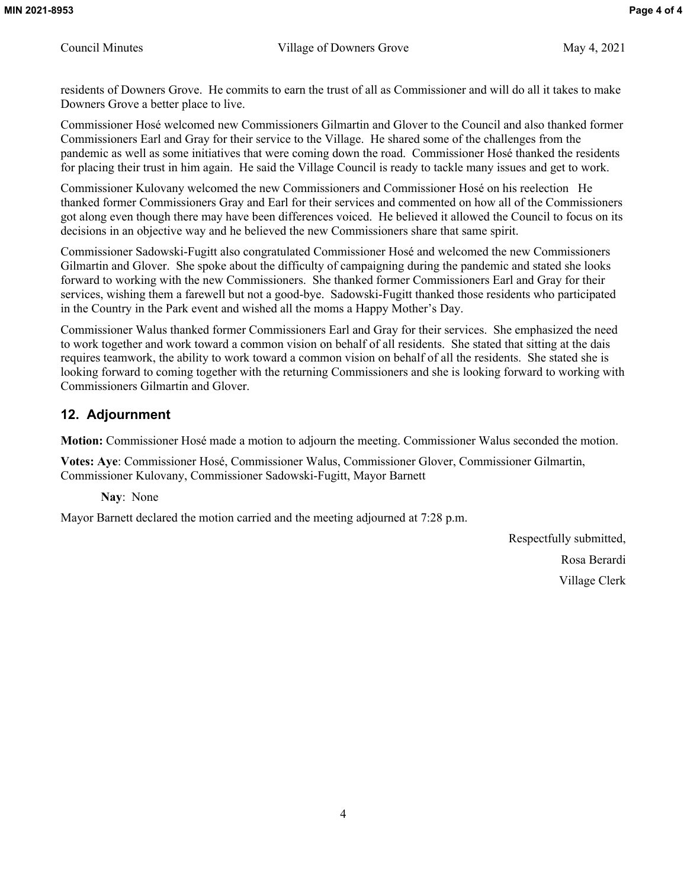residents of Downers Grove. He commits to earn the trust of all as Commissioner and will do all it takes to make Downers Grove a better place to live.

Commissioner Hosé welcomed new Commissioners Gilmartin and Glover to the Council and also thanked former Commissioners Earl and Gray for their service to the Village. He shared some of the challenges from the pandemic as well as some initiatives that were coming down the road. Commissioner Hosé thanked the residents for placing their trust in him again. He said the Village Council is ready to tackle many issues and get to work.

Commissioner Kulovany welcomed the new Commissioners and Commissioner Hosé on his reelection He thanked former Commissioners Gray and Earl for their services and commented on how all of the Commissioners got along even though there may have been differences voiced. He believed it allowed the Council to focus on its decisions in an objective way and he believed the new Commissioners share that same spirit.

Commissioner Sadowski-Fugitt also congratulated Commissioner Hosé and welcomed the new Commissioners Gilmartin and Glover. She spoke about the difficulty of campaigning during the pandemic and stated she looks forward to working with the new Commissioners. She thanked former Commissioners Earl and Gray for their services, wishing them a farewell but not a good-bye. Sadowski-Fugitt thanked those residents who participated in the Country in the Park event and wished all the moms a Happy Mother's Day.

Commissioner Walus thanked former Commissioners Earl and Gray for their services. She emphasized the need to work together and work toward a common vision on behalf of all residents. She stated that sitting at the dais requires teamwork, the ability to work toward a common vision on behalf of all the residents. She stated she is looking forward to coming together with the returning Commissioners and she is looking forward to working with Commissioners Gilmartin and Glover.

### **12. Adjournment**

**Motion:** Commissioner Hosé made a motion to adjourn the meeting. Commissioner Walus seconded the motion.

**Votes: Aye**: Commissioner Hosé, Commissioner Walus, Commissioner Glover, Commissioner Gilmartin, Commissioner Kulovany, Commissioner Sadowski-Fugitt, Mayor Barnett

**Nay**: None

Mayor Barnett declared the motion carried and the meeting adjourned at 7:28 p.m.

Respectfully submitted, Rosa Berardi Village Clerk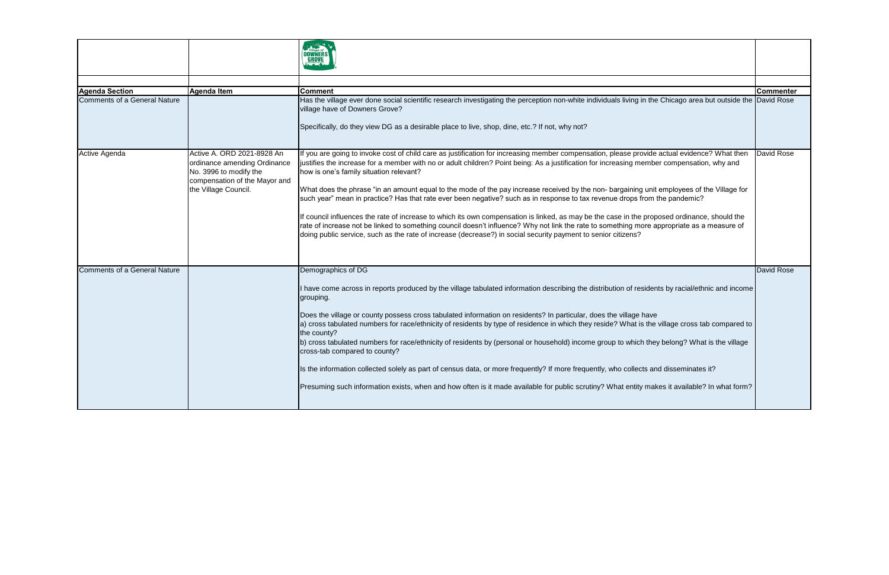| <b>Agenda Section</b>        | Agenda Item                                                                                                                                   | <b>Comment</b>                                                                                                                                                                                                                                                                                                                                                                                                                                                                                                                                                                                                                                                                                                                                                                                                                                                                                                                                                                                                                   | <b>Commenter</b> |
|------------------------------|-----------------------------------------------------------------------------------------------------------------------------------------------|----------------------------------------------------------------------------------------------------------------------------------------------------------------------------------------------------------------------------------------------------------------------------------------------------------------------------------------------------------------------------------------------------------------------------------------------------------------------------------------------------------------------------------------------------------------------------------------------------------------------------------------------------------------------------------------------------------------------------------------------------------------------------------------------------------------------------------------------------------------------------------------------------------------------------------------------------------------------------------------------------------------------------------|------------------|
| Comments of a General Nature |                                                                                                                                               | Has the village ever done social scientific research investigating the perception non-white individuals living in the Chicago area but outside the David Rose<br>village have of Downers Grove?<br>Specifically, do they view DG as a desirable place to live, shop, dine, etc.? If not, why not?                                                                                                                                                                                                                                                                                                                                                                                                                                                                                                                                                                                                                                                                                                                                |                  |
| Active Agenda                | Active A. ORD 2021-8928 An<br>ordinance amending Ordinance<br>No. 3996 to modify the<br>compensation of the Mayor and<br>the Village Council. | If you are going to invoke cost of child care as justification for increasing member compensation, please provide actual evidence? What then<br>justifies the increase for a member with no or adult children? Point being: As a justification for increasing member compensation, why and<br>how is one's family situation relevant?<br>What does the phrase "in an amount equal to the mode of the pay increase received by the non- bargaining unit employees of the Village for<br>such year" mean in practice? Has that rate ever been negative? such as in response to tax revenue drops from the pandemic?<br>If council influences the rate of increase to which its own compensation is linked, as may be the case in the proposed ordinance, should the<br>rate of increase not be linked to something council doesn't influence? Why not link the rate to something more appropriate as a measure of<br>doing public service, such as the rate of increase (decrease?) in social security payment to senior citizens? | David Rose       |
| Comments of a General Nature |                                                                                                                                               | Demographics of DG                                                                                                                                                                                                                                                                                                                                                                                                                                                                                                                                                                                                                                                                                                                                                                                                                                                                                                                                                                                                               | David Rose       |
|                              |                                                                                                                                               | I have come across in reports produced by the village tabulated information describing the distribution of residents by racial/ethnic and income<br>grouping.<br>Does the village or county possess cross tabulated information on residents? In particular, does the village have<br>a) cross tabulated numbers for race/ethnicity of residents by type of residence in which they reside? What is the village cross tab compared to<br>the county?<br>b) cross tabulated numbers for race/ethnicity of residents by (personal or household) income group to which they belong? What is the village<br>cross-tab compared to county?<br>Is the information collected solely as part of census data, or more frequently? If more frequently, who collects and disseminates it?<br>Presuming such information exists, when and how often is it made available for public scrutiny? What entity makes it available? In what form?                                                                                                  |                  |